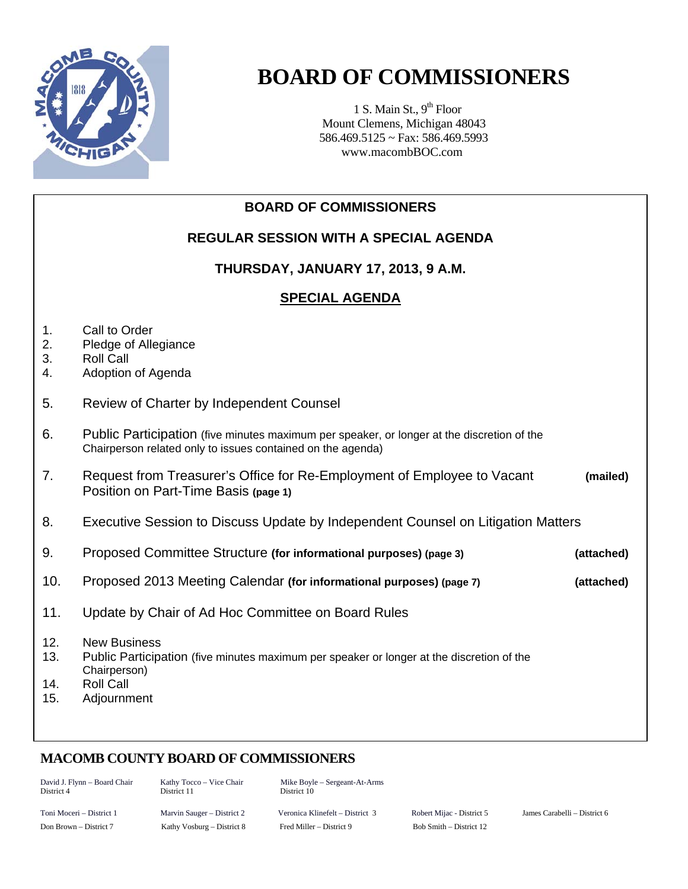

## **BOARD OF COMMISSIONERS**

1 S. Main St.,  $9<sup>th</sup>$  Floor Mount Clemens, Michigan 48043 586.469.5125 ~ Fax: 586.469.5993 www.macombBOC.com

## **BOARD OF COMMISSIONERS REGULAR SESSION WITH A SPECIAL AGENDA THURSDAY, JANUARY 17, 2013, 9 A.M. SPECIAL AGENDA** 1. Call to Order 2. Pledge of Allegiance 3. Roll Call 4. Adoption of Agenda 5. Review of Charter by Independent Counsel 6. Public Participation (five minutes maximum per speaker, or longer at the discretion of the Chairperson related only to issues contained on the agenda) 7. Request from Treasurer's Office for Re-Employment of Employee to Vacant **(mailed)**  Position on Part-Time Basis **(page 1)**  8. Executive Session to Discuss Update by Independent Counsel on Litigation Matters 9. Proposed Committee Structure **(for informational purposes) (page 3) (attached)** 10. Proposed 2013 Meeting Calendar **(for informational purposes) (page 7) (attached)**  11. Update by Chair of Ad Hoc Committee on Board Rules 12. New Business 13. Public Participation (five minutes maximum per speaker or longer at the discretion of the Chairperson) 14. Roll Call 15. Adjournment

## **MACOMB COUNTY BOARD OF COMMISSIONERS**

| David J. Flynn – Board Chair<br>District 4 | Kathy Tocco – Vice Chair<br>District 11 | Mike Boyle – Sergeant-At-Arms<br>District 10 |                           |
|--------------------------------------------|-----------------------------------------|----------------------------------------------|---------------------------|
| Toni Moceri – District 1                   | Marvin Sauger – District 2              | Veronica Klinefelt – District 3              | Robert Mijac - District 5 |
| Don Brown – District 7                     | Kathy Vosburg – District 8              | Fred Miller – District 9                     | Bob Smith – District 12   |

Toni Moceri – District 1 Marvin Sauger – District 2 Veronica Klinefelt – District 3 Robert Mijac - District 5 James Carabelli – District 6